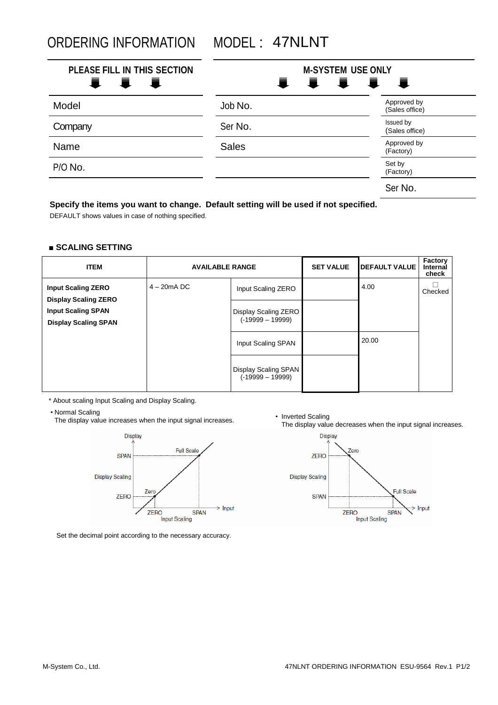ORDERING INFORMATION MODEL : 47NLNT

| PLEASE FILL IN THIS SECTION<br>1 I I | <b>M-SYSTEM USE ONLY</b><br>I I I<br>一章<br>$\blacksquare$ |                               |  |
|--------------------------------------|-----------------------------------------------------------|-------------------------------|--|
| Model                                | Job No.                                                   | Approved by<br>(Sales office) |  |
| Company                              | Ser No.                                                   | Issued by<br>(Sales office)   |  |
| Name                                 | <b>Sales</b>                                              | Approved by<br>(Factory)      |  |
| P/O No.                              |                                                           | Set by<br>(Factory)           |  |
|                                      |                                                           | Ser No.                       |  |

## **Specify the items you want to change. Default setting will be used if not specified.**

DEFAULT shows values in case of nothing specified.

## **■ SCALING SETTING**

| <b>ITEM</b>                                              | <b>AVAILABLE RANGE</b> |                                            | <b>SET VALUE</b> | <b>DEFAULT VALUE</b> | Factory<br><b>Internal</b><br>check |
|----------------------------------------------------------|------------------------|--------------------------------------------|------------------|----------------------|-------------------------------------|
| <b>Input Scaling ZERO</b><br><b>Display Scaling ZERO</b> | $4 - 20$ m $A$ DC      | Input Scaling ZERO                         |                  | 4.00                 | Checked                             |
| <b>Input Scaling SPAN</b><br><b>Display Scaling SPAN</b> |                        | Display Scaling ZERO<br>$(-19999 - 19999)$ |                  |                      |                                     |
|                                                          |                        | Input Scaling SPAN                         |                  | 20.00                |                                     |
|                                                          |                        | Display Scaling SPAN<br>$(-19999 - 19999)$ |                  |                      |                                     |

\* About scaling Input Scaling and Display Scaling.

• Normal Scaling

Normal Scaling<br>The display value increases when the input signal increases.<br>The display unlusted Scaling



Set the decimal point according to the necessary accuracy.

The display value decreases when the input signal increases.